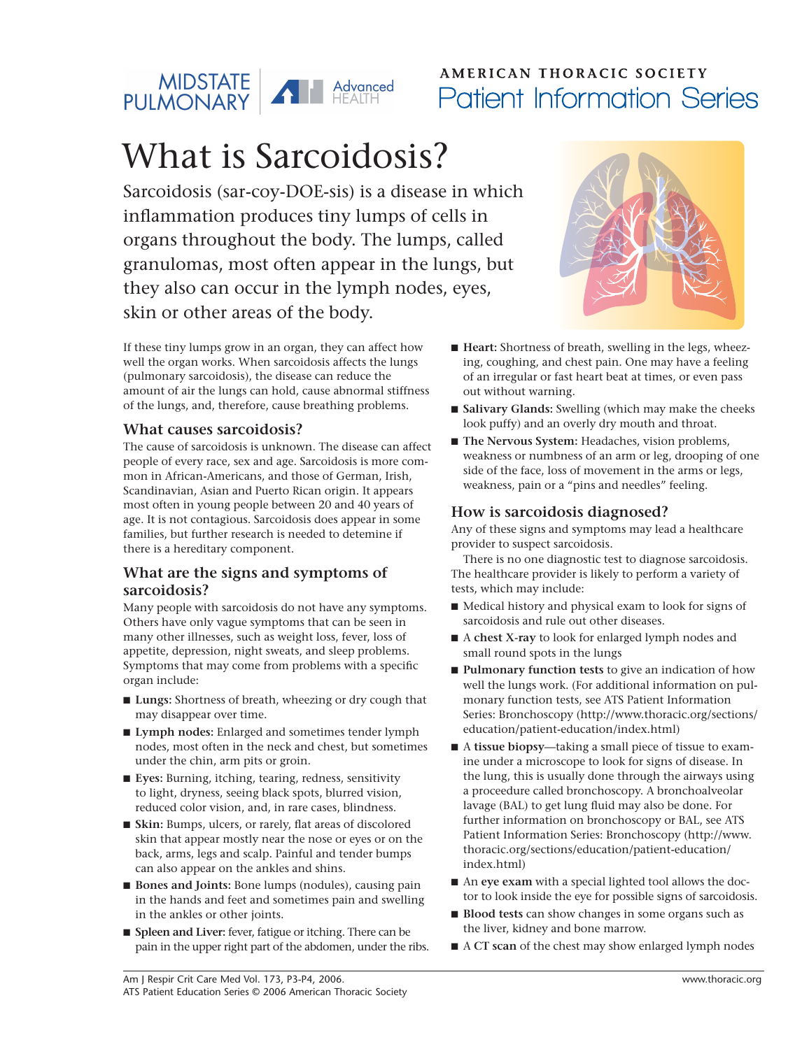

## **AMERICAN THORACIC SOCIETY** Patient Information Series

# What is Sarcoidosis?

Sarcoidosis (sar-coy-DOE-sis) is a disease in which inflammation produces tiny lumps of cells in organs throughout the body. The lumps, called granulomas, most often appear in the lungs, but they also can occur in the lymph nodes, eyes, skin or other areas of the body.

If these tiny lumps grow in an organ, they can affect how well the organ works. When sarcoidosis affects the lungs (pulmonary sarcoidosis), the disease can reduce the amount of air the lungs can hold, cause abnormal stiffness of the lungs, and, therefore, cause breathing problems.

#### **What causes sarcoidosis?**

The cause of sarcoidosis is unknown. The disease can affect people of every race, sex and age. Sarcoidosis is more common in African-Americans, and those of German, Irish, Scandinavian, Asian and Puerto Rican origin. It appears most often in young people between 20 and 40 years of age. It is not contagious. Sarcoidosis does appear in some families, but further research is needed to detemine if there is a hereditary component.

#### **What are the signs and symptoms of sarcoidosis?**

Many people with sarcoidosis do not have any symptoms. Others have only vague symptoms that can be seen in many other illnesses, such as weight loss, fever, loss of appetite, depression, night sweats, and sleep problems. Symptoms that may come from problems with a specific organ include:

- **Lungs:** Shortness of breath, wheezing or dry cough that may disappear over time.
- Lymph nodes: Enlarged and sometimes tender lymph nodes, most often in the neck and chest, but sometimes under the chin, arm pits or groin.
- **Eyes:** Burning, itching, tearing, redness, sensitivity to light, dryness, seeing black spots, blurred vision, reduced color vision, and, in rare cases, blindness.
- **Skin:** Bumps, ulcers, or rarely, flat areas of discolored skin that appear mostly near the nose or eyes or on the back, arms, legs and scalp. Painful and tender bumps can also appear on the ankles and shins.
- **Bones and Joints:** Bone lumps (nodules), causing pain in the hands and feet and sometimes pain and swelling in the ankles or other joints.
- **Spleen and Liver:** fever, fatigue or itching. There can be pain in the upper right part of the abdomen, under the ribs.



- **Heart:** Shortness of breath, swelling in the legs, wheezing, coughing, and chest pain. One may have a feeling of an irregular or fast heart beat at times, or even pass out without warning.
- **Salivary Glands:** Swelling (which may make the cheeks look puffy) and an overly dry mouth and throat.
- **The Nervous System:** Headaches, vision problems, weakness or numbness of an arm or leg, drooping of one side of the face, loss of movement in the arms or legs, weakness, pain or a "pins and needles" feeling.

#### **How is sarcoidosis diagnosed?**

Any of these signs and symptoms may lead a healthcare provider to suspect sarcoidosis.

There is no one diagnostic test to diagnose sarcoidosis. The healthcare provider is likely to perform a variety of tests, which may include:

- Medical history and physical exam to look for signs of sarcoidosis and rule out other diseases.
- A **chest X-ray** to look for enlarged lymph nodes and small round spots in the lungs
- **Pulmonary function tests** to give an indication of how well the lungs work. (For additional information on pulmonary function tests, see ATS Patient Information Series: Bronchoscopy (http://www.thoracic.org/sections/ education/patient-education/index.html)
- A **tissue biopsy**—taking a small piece of tissue to examine under a microscope to look for signs of disease. In the lung, this is usually done through the airways using a proceedure called bronchoscopy. A bronchoalveolar lavage (BAL) to get lung fluid may also be done. For further information on bronchoscopy or BAL, see ATS Patient Information Series: Bronchoscopy (http://www. thoracic.org/sections/education/patient-education/ index.html)
- An **eye exam** with a special lighted tool allows the doctor to look inside the eye for possible signs of sarcoidosis.
- **Blood tests** can show changes in some organs such as the liver, kidney and bone marrow.
- A **CT** scan of the chest may show enlarged lymph nodes